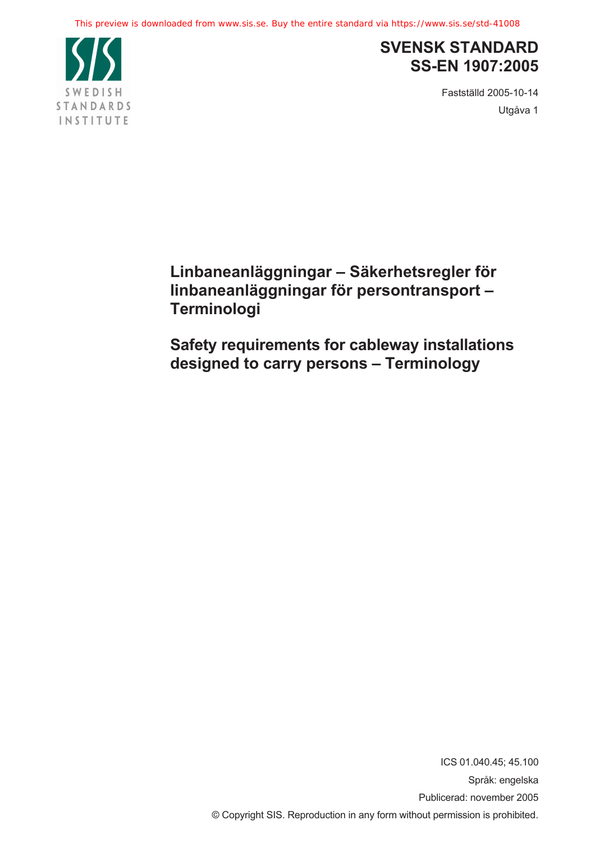

# **SVENSK STANDARD SS-EN 1907:2005**

Fastställd 2005-10-14 Utgåva 1

**Linbaneanläggningar – Säkerhetsregler för linbaneanläggningar för persontransport – Terminologi**

**Safety requirements for cableway installations designed to carry persons – Terminology**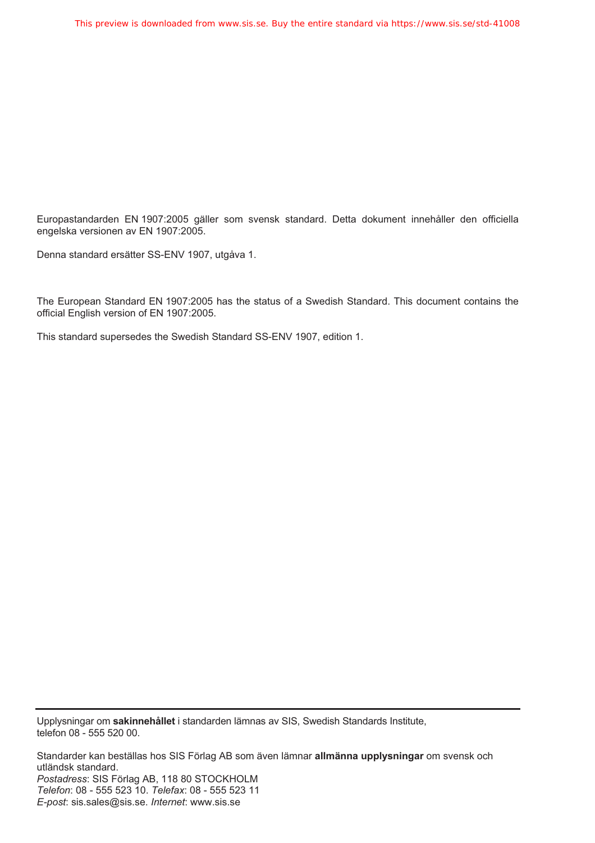Europastandarden EN 1907:2005 gäller som svensk standard. Detta dokument innehåller den officiella engelska versionen av EN 1907:2005.

Denna standard ersätter SS-ENV 1907, utgåva 1.

The European Standard EN 1907:2005 has the status of a Swedish Standard. This document contains the official English version of EN 1907:2005.

This standard supersedes the Swedish Standard SS-ENV 1907, edition 1.

Upplysningar om **sakinnehållet** i standarden lämnas av SIS, Swedish Standards Institute, telefon 08 - 555 520 00.

Standarder kan beställas hos SIS Förlag AB som även lämnar **allmänna upplysningar** om svensk och utländsk standard. *Postadress*: SIS Förlag AB, 118 80 STOCKHOLM *Telefon*: 08 - 555 523 10. *Telefax*: 08 - 555 523 11 *E-post*: sis.sales@sis.se. *Internet*: www.sis.se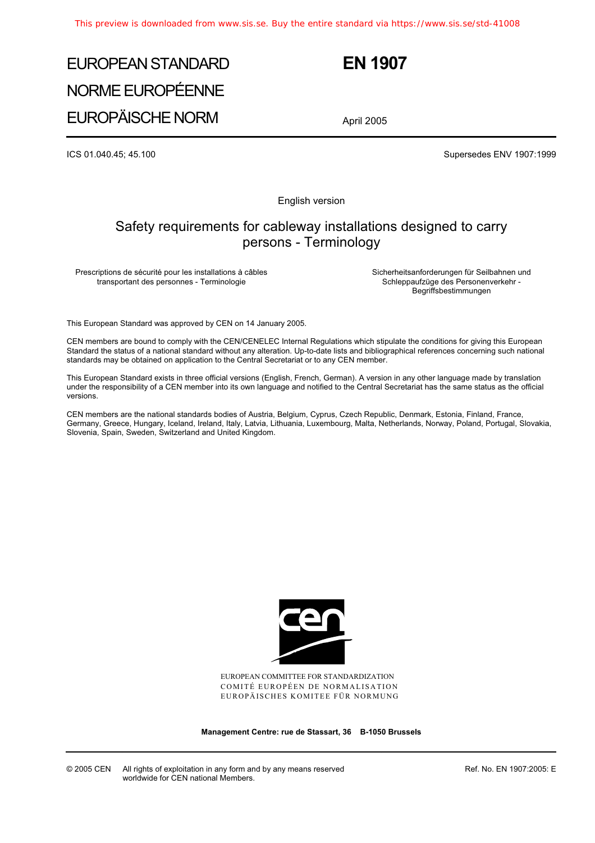# EUROPEAN STANDARD NORME EUROPÉENNE EUROPÄISCHE NORM

 **EN 1907** 

April 2005

ICS 01.040.45; 45.100 Supersedes ENV 1907:1999

English version

# Safety requirements for cableway installations designed to carry persons - Terminology

Prescriptions de sécurité pour les installations à câbles transportant des personnes - Terminologie

 Sicherheitsanforderungen für Seilbahnen und Schleppaufzüge des Personenverkehr - Begriffsbestimmungen

This European Standard was approved by CEN on 14 January 2005.

CEN members are bound to comply with the CEN/CENELEC Internal Regulations which stipulate the conditions for giving this European Standard the status of a national standard without any alteration. Up-to-date lists and bibliographical references concerning such national standards may be obtained on application to the Central Secretariat or to any CEN member.

This European Standard exists in three official versions (English, French, German). A version in any other language made by translation under the responsibility of a CEN member into its own language and notified to the Central Secretariat has the same status as the official versions.

CEN members are the national standards bodies of Austria, Belgium, Cyprus, Czech Republic, Denmark, Estonia, Finland, France, Germany, Greece, Hungary, Iceland, Ireland, Italy, Latvia, Lithuania, Luxembourg, Malta, Netherlands, Norway, Poland, Portugal, Slovakia, Slovenia, Spain, Sweden, Switzerland and United Kingdom.



EUROPEAN COMMITTEE FOR STANDARDIZATION COMITÉ EUROPÉEN DE NORMALISATION EUROPÄISCHES KOMITEE FÜR NORMUNG

**Management Centre: rue de Stassart, 36 B-1050 Brussels** 

© 2005 CEN All rights of exploitation in any form and by any means reserved worldwide for CEN national Members.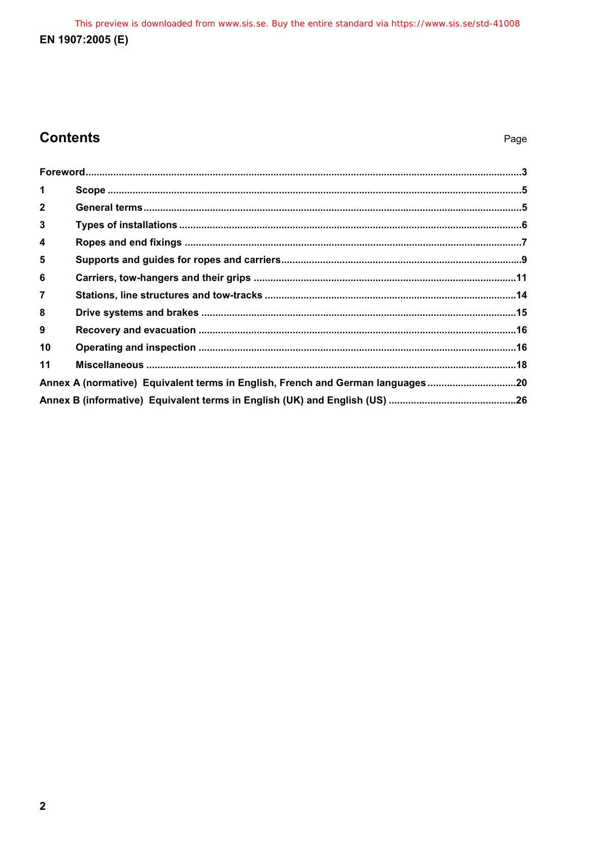This preview is downloaded from www.sis.se. Buy the entire standard via https://www.sis.se/std-41008 EN 1907:2005 (E)

# **Contents**

| $\blacktriangleleft$    |                                                                                |  |
|-------------------------|--------------------------------------------------------------------------------|--|
| $\overline{2}$          |                                                                                |  |
| $\mathbf{3}$            |                                                                                |  |
| $\overline{\mathbf{4}}$ |                                                                                |  |
| 5                       |                                                                                |  |
| 6                       |                                                                                |  |
| $\overline{7}$          |                                                                                |  |
| 8                       |                                                                                |  |
| 9                       |                                                                                |  |
| 10                      |                                                                                |  |
| 11                      |                                                                                |  |
|                         | Annex A (normative) Equivalent terms in English, French and German languages20 |  |
|                         |                                                                                |  |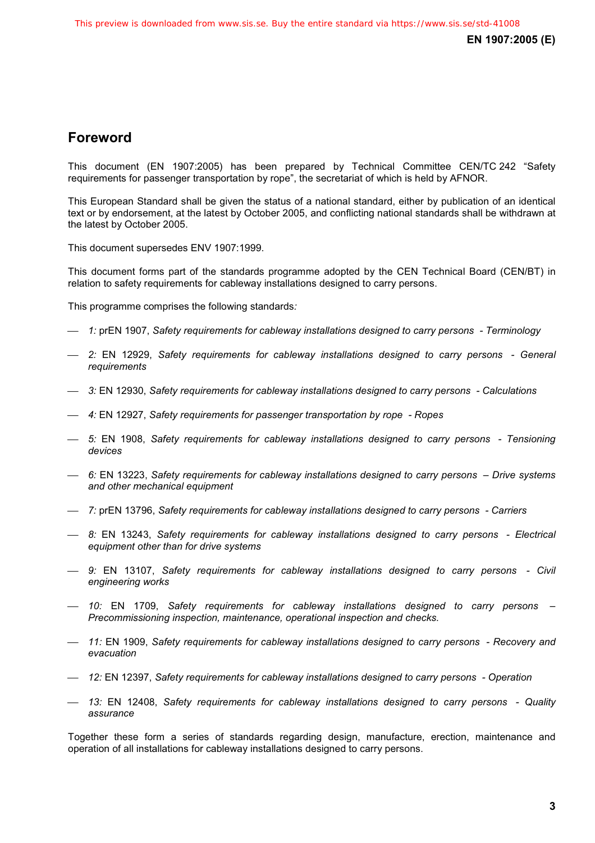# **Foreword**

This document (EN 1907:2005) has been prepared by Technical Committee CEN/TC 242 "Safety requirements for passenger transportation by rope", the secretariat of which is held by AFNOR.

This European Standard shall be given the status of a national standard, either by publication of an identical text or by endorsement, at the latest by October 2005, and conflicting national standards shall be withdrawn at the latest by October 2005.

This document supersedes ENV 1907:1999.

This document forms part of the standards programme adopted by the CEN Technical Board (CEN/BT) in relation to safety requirements for cableway installations designed to carry persons.

This programme comprises the following standards*:*

- ⎯ *1:* prEN 1907, *Safety requirements for cableway installations designed to carry persons Terminology*
- ⎯ *2:* EN 12929, *Safety requirements for cableway installations designed to carry persons General requirements*
- ⎯ *3:* EN 12930, *Safety requirements for cableway installations designed to carry persons Calculations*
- ⎯ *4:* EN 12927, *Safety requirements for passenger transportation by rope Ropes*
- ⎯ *5:* EN 1908, *Safety requirements for cableway installations designed to carry persons Tensioning devices*
- ⎯ *6:* EN 13223, *Safety requirements for cableway installations designed to carry persons Drive systems and other mechanical equipment*
- ⎯ *7:* prEN 13796, *Safety requirements for cableway installations designed to carry persons Carriers*
- ⎯ *8:* EN 13243, *Safety requirements for cableway installations designed to carry persons Electrical equipment other than for drive systems*
- ⎯ *9:* EN 13107, *Safety requirements for cableway installations designed to carry persons Civil engineering works*
- ⎯ *10:* EN 1709, *Safety requirements for cableway installations designed to carry persons Precommissioning inspection, maintenance, operational inspection and checks.*
- ⎯ *11:* EN 1909, *Safety requirements for cableway installations designed to carry persons Recovery and evacuation*
- ⎯ *12:* EN 12397, *Safety requirements for cableway installations designed to carry persons Operation*
- ⎯ *13:* EN 12408, *Safety requirements for cableway installations designed to carry persons Quality assurance*

Together these form a series of standards regarding design, manufacture, erection, maintenance and operation of all installations for cableway installations designed to carry persons.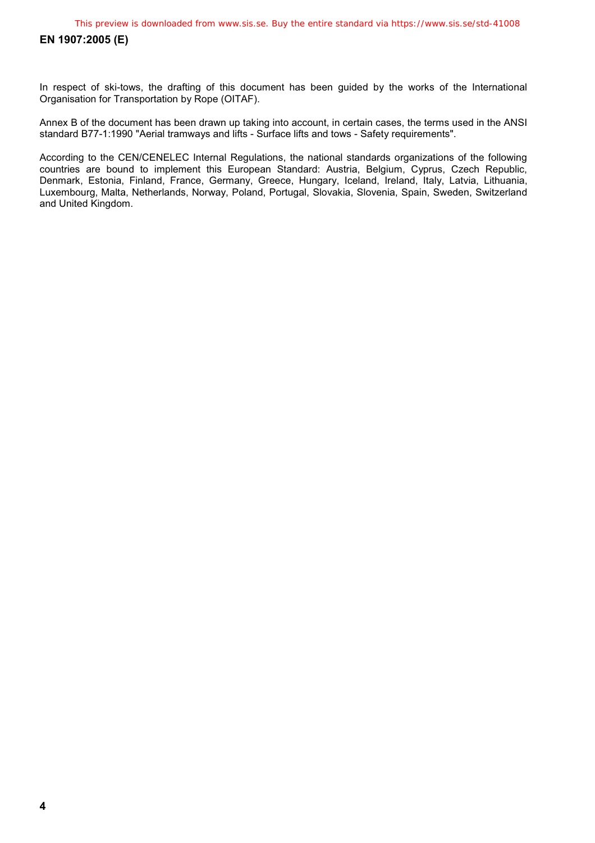In respect of ski-tows, the drafting of this document has been guided by the works of the International Organisation for Transportation by Rope (OITAF).

Annex B of the document has been drawn up taking into account, in certain cases, the terms used in the ANSI standard B77-1:1990 "Aerial tramways and lifts - Surface lifts and tows - Safety requirements".

According to the CEN/CENELEC Internal Regulations, the national standards organizations of the following countries are bound to implement this European Standard: Austria, Belgium, Cyprus, Czech Republic, Denmark, Estonia, Finland, France, Germany, Greece, Hungary, Iceland, Ireland, Italy, Latvia, Lithuania, Luxembourg, Malta, Netherlands, Norway, Poland, Portugal, Slovakia, Slovenia, Spain, Sweden, Switzerland and United Kingdom.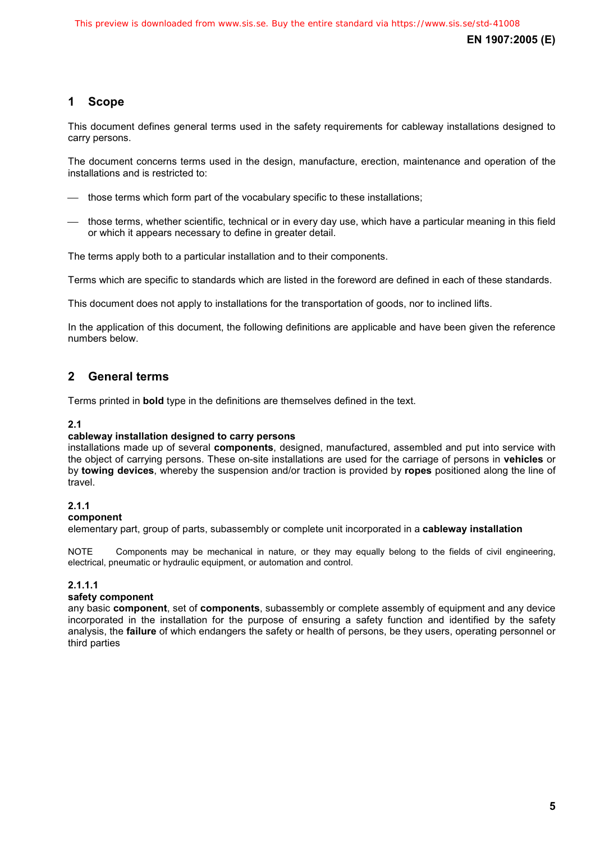# **1 Scope**

This document defines general terms used in the safety requirements for cableway installations designed to carry persons.

The document concerns terms used in the design, manufacture, erection, maintenance and operation of the installations and is restricted to:

- those terms which form part of the vocabulary specific to these installations:
- ⎯ those terms, whether scientific, technical or in every day use, which have a particular meaning in this field or which it appears necessary to define in greater detail.

The terms apply both to a particular installation and to their components.

Terms which are specific to standards which are listed in the foreword are defined in each of these standards.

This document does not apply to installations for the transportation of goods, nor to inclined lifts.

In the application of this document, the following definitions are applicable and have been given the reference numbers below.

# **2 General terms**

Terms printed in **bold** type in the definitions are themselves defined in the text.

# **2.1**

# **cableway installation designed to carry persons**

installations made up of several **components**, designed, manufactured, assembled and put into service with the object of carrying persons. These on-site installations are used for the carriage of persons in **vehicles** or by **towing devices**, whereby the suspension and/or traction is provided by **ropes** positioned along the line of travel.

# **2.1.1**

# **component**

elementary part, group of parts, subassembly or complete unit incorporated in a **cableway installation**

NOTE Components may be mechanical in nature, or they may equally belong to the fields of civil engineering, electrical, pneumatic or hydraulic equipment, or automation and control.

# **2.1.1.1**

# **safety component**

any basic **component**, set of **components**, subassembly or complete assembly of equipment and any device incorporated in the installation for the purpose of ensuring a safety function and identified by the safety analysis, the **failure** of which endangers the safety or health of persons, be they users, operating personnel or third parties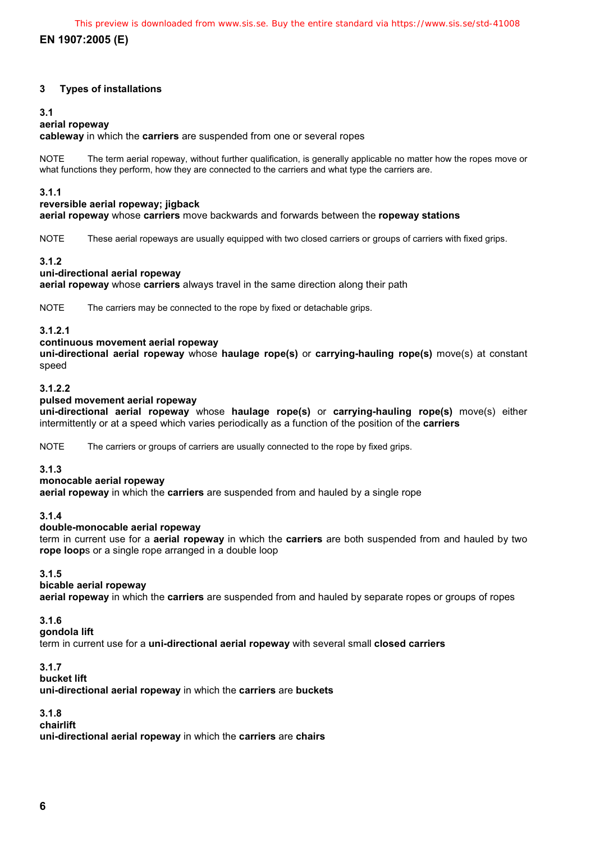# **3 Types of installations**

#### **3.1**

# **aerial ropeway**

**cableway** in which the **carriers** are suspended from one or several ropes

NOTE The term aerial ropeway, without further qualification, is generally applicable no matter how the ropes move or what functions they perform, how they are connected to the carriers and what type the carriers are.

# **3.1.1**

#### **reversible aerial ropeway; jigback**

**aerial ropeway** whose **carriers** move backwards and forwards between the **ropeway stations**

NOTE These aerial ropeways are usually equipped with two closed carriers or groups of carriers with fixed grips.

#### **3.1.2**

# **uni-directional aerial ropeway**

**aerial ropeway** whose **carriers** always travel in the same direction along their path

NOTE The carriers may be connected to the rope by fixed or detachable grips.

# **3.1.2.1**

# **continuous movement aerial ropeway**

**uni-directional aerial ropeway** whose **haulage rope(s)** or **carrying-hauling rope(s)** move(s) at constant speed

# **3.1.2.2**

#### **pulsed movement aerial ropeway**

**uni-directional aerial ropeway** whose **haulage rope(s)** or **carrying-hauling rope(s)** move(s) either intermittently or at a speed which varies periodically as a function of the position of the **carriers**

NOTE The carriers or groups of carriers are usually connected to the rope by fixed grips.

# **3.1.3**

# **monocable aerial ropeway**

**aerial ropeway** in which the **carriers** are suspended from and hauled by a single rope

# **3.1.4**

# **double-monocable aerial ropeway**

term in current use for a **aerial ropeway** in which the **carriers** are both suspended from and hauled by two **rope loop**s or a single rope arranged in a double loop

# **3.1.5**

**bicable aerial ropeway** 

**aerial ropeway** in which the **carriers** are suspended from and hauled by separate ropes or groups of ropes

# **3.1.6**

# **gondola lift**

term in current use for a **uni-directional aerial ropeway** with several small **closed carriers**

# **3.1.7**

# **bucket lift**

**uni-directional aerial ropeway** in which the **carriers** are **buckets**

# **3.1.8**

**chairlift** 

**uni-directional aerial ropeway** in which the **carriers** are **chairs**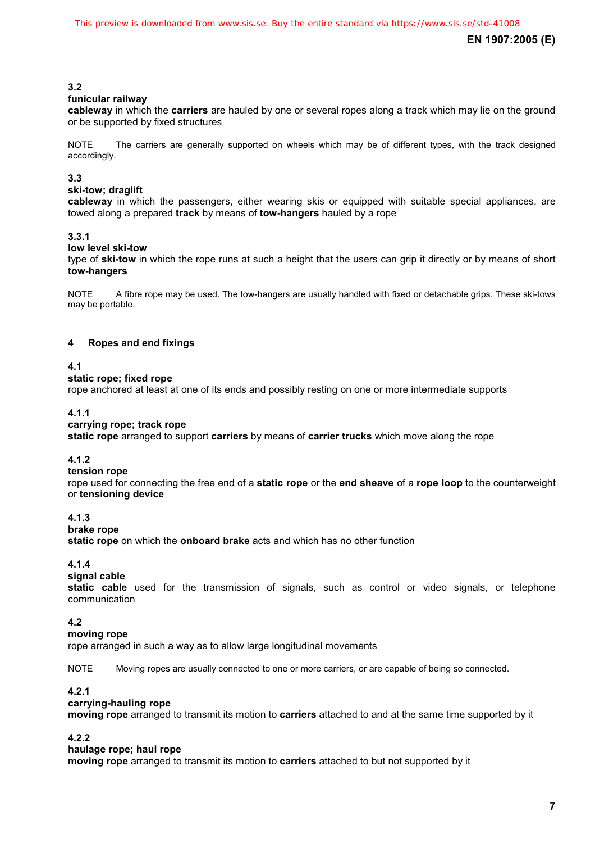# **3.2**

# **funicular railway**

**cableway** in which the **carriers** are hauled by one or several ropes along a track which may lie on the ground or be supported by fixed structures

NOTE The carriers are generally supported on wheels which may be of different types, with the track designed accordingly.

# **3.3**

# **ski-tow; draglift**

**cableway** in which the passengers, either wearing skis or equipped with suitable special appliances, are towed along a prepared **track** by means of **tow-hangers** hauled by a rope

# **3.3.1**

# **low level ski-tow**

type of **ski-tow** in which the rope runs at such a height that the users can grip it directly or by means of short **tow-hangers**

NOTE A fibre rope may be used. The tow-hangers are usually handled with fixed or detachable grips. These ski-tows may be portable.

# **4 Ropes and end fixings**

# **4.1**

# **static rope; fixed rope**

rope anchored at least at one of its ends and possibly resting on one or more intermediate supports

# **4.1.1**

# **carrying rope; track rope**

**static rope** arranged to support **carriers** by means of **carrier trucks** which move along the rope

# **4.1.2**

#### **tension rope**

rope used for connecting the free end of a **static rope** or the **end sheave** of a **rope loop** to the counterweight or **tensioning device** 

# **4.1.3**

# **brake rope**

**static rope** on which the **onboard brake** acts and which has no other function

# **4.1.4**

# **signal cable**

**static cable** used for the transmission of signals, such as control or video signals, or telephone communication

# **4.2**

# **moving rope**

rope arranged in such a way as to allow large longitudinal movements

NOTE Moving ropes are usually connected to one or more carriers, or are capable of being so connected.

# **4.2.1**

# **carrying-hauling rope**

**moving rope** arranged to transmit its motion to **carriers** attached to and at the same time supported by it

# **4.2.2**

# **haulage rope; haul rope**

**moving rope** arranged to transmit its motion to **carriers** attached to but not supported by it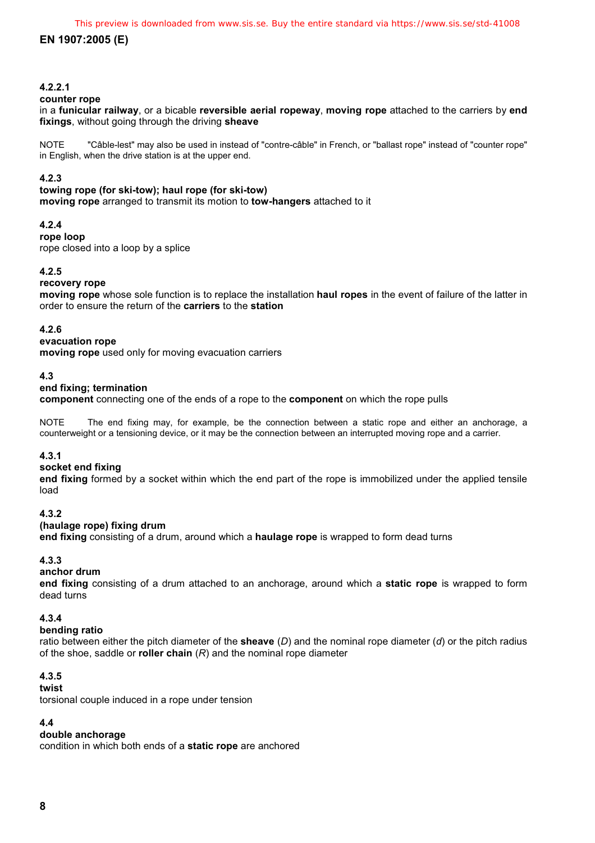# **4.2.2.1**

#### **counter rope**

in a **funicular railway**, or a bicable **reversible aerial ropeway**, **moving rope** attached to the carriers by **end fixings**, without going through the driving **sheave**

NOTE "Câble-lest" may also be used in instead of "contre-câble" in French, or "ballast rope" instead of "counter rope" in English, when the drive station is at the upper end.

# **4.2.3**

**towing rope (for ski-tow); haul rope (for ski-tow) moving rope** arranged to transmit its motion to **tow-hangers** attached to it

# **4.2.4**

# **rope loop**

rope closed into a loop by a splice

# **4.2.5**

# **recovery rope**

**moving rope** whose sole function is to replace the installation **haul ropes** in the event of failure of the latter in order to ensure the return of the **carriers** to the **station** 

#### **4.2.6**

#### **evacuation rope**

**moving rope** used only for moving evacuation carriers

#### **4.3**

# **end fixing; termination**

**component** connecting one of the ends of a rope to the **component** on which the rope pulls

NOTE The end fixing may, for example, be the connection between a static rope and either an anchorage, a counterweight or a tensioning device, or it may be the connection between an interrupted moving rope and a carrier.

# **4.3.1**

#### **socket end fixing**

**end fixing** formed by a socket within which the end part of the rope is immobilized under the applied tensile load

# **4.3.2**

#### **(haulage rope) fixing drum**

**end fixing** consisting of a drum, around which a **haulage rope** is wrapped to form dead turns

# **4.3.3**

# **anchor drum**

**end fixing** consisting of a drum attached to an anchorage, around which a **static rope** is wrapped to form dead turns

# **4.3.4**

# **bending ratio**

ratio between either the pitch diameter of the **sheave** (*D*) and the nominal rope diameter (*d*) or the pitch radius of the shoe, saddle or **roller chain** (*R*) and the nominal rope diameter

# **4.3.5**

# **twist**

torsional couple induced in a rope under tension

# **4.4**

# **double anchorage**

condition in which both ends of a **static rope** are anchored